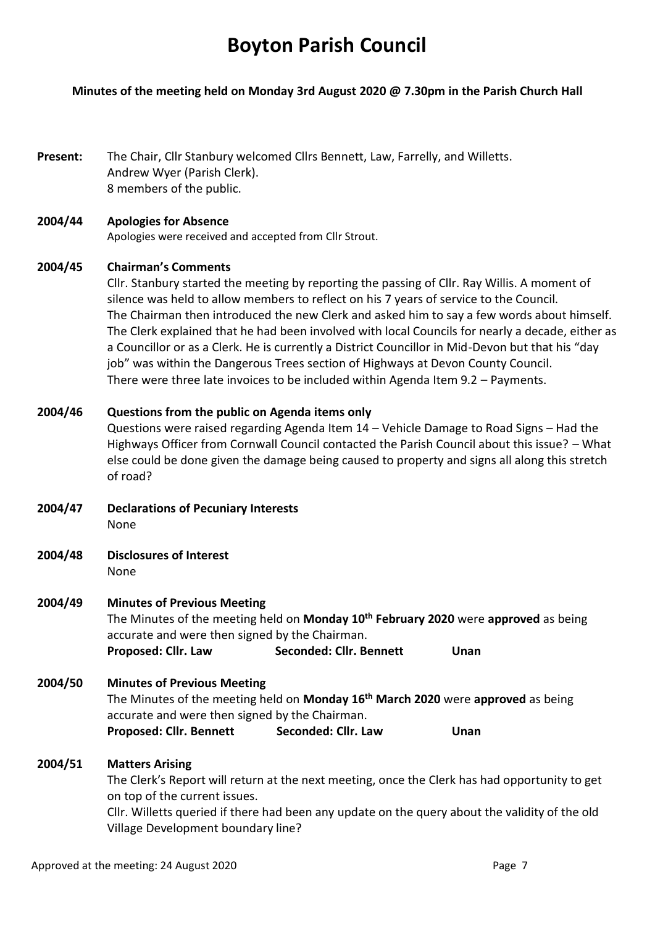# **Boyton Parish Council**

## **Minutes of the meeting held on Monday 3rd August 2020 @ 7.30pm in the Parish Church Hall**

**Present:** The Chair, Cllr Stanbury welcomed Cllrs Bennett, Law, Farrelly, and Willetts. Andrew Wyer (Parish Clerk). 8 members of the public.

## **2004/44 Apologies for Absence**

Apologies were received and accepted from Cllr Strout.

## **2004/45 Chairman's Comments**

Cllr. Stanbury started the meeting by reporting the passing of Cllr. Ray Willis. A moment of silence was held to allow members to reflect on his 7 years of service to the Council. The Chairman then introduced the new Clerk and asked him to say a few words about himself. The Clerk explained that he had been involved with local Councils for nearly a decade, either as a Councillor or as a Clerk. He is currently a District Councillor in Mid-Devon but that his "day job" was within the Dangerous Trees section of Highways at Devon County Council. There were three late invoices to be included within Agenda Item 9.2 – Payments.

## **2004/46 Questions from the public on Agenda items only**

Questions were raised regarding Agenda Item 14 – Vehicle Damage to Road Signs – Had the Highways Officer from Cornwall Council contacted the Parish Council about this issue? – What else could be done given the damage being caused to property and signs all along this stretch of road?

- **2004/47 Declarations of Pecuniary Interests** None
- **2004/48 Disclosures of Interest**  None

## **2004/49 Minutes of Previous Meeting**

The Minutes of the meeting held on **Monday 10 th February 2020** were **approved** as being accurate and were then signed by the Chairman. **Proposed: Cllr. Law Seconded: Cllr. Bennett Unan** 

## **2004/50 Minutes of Previous Meeting**

The Minutes of the meeting held on **Monday 16th March 2020** were **approved** as being accurate and were then signed by the Chairman. Proposed: Cllr. Bennett Seconded: Cllr. Law Unan

## **2004/51 Matters Arising**

The Clerk's Report will return at the next meeting, once the Clerk has had opportunity to get on top of the current issues.

Cllr. Willetts queried if there had been any update on the query about the validity of the old Village Development boundary line?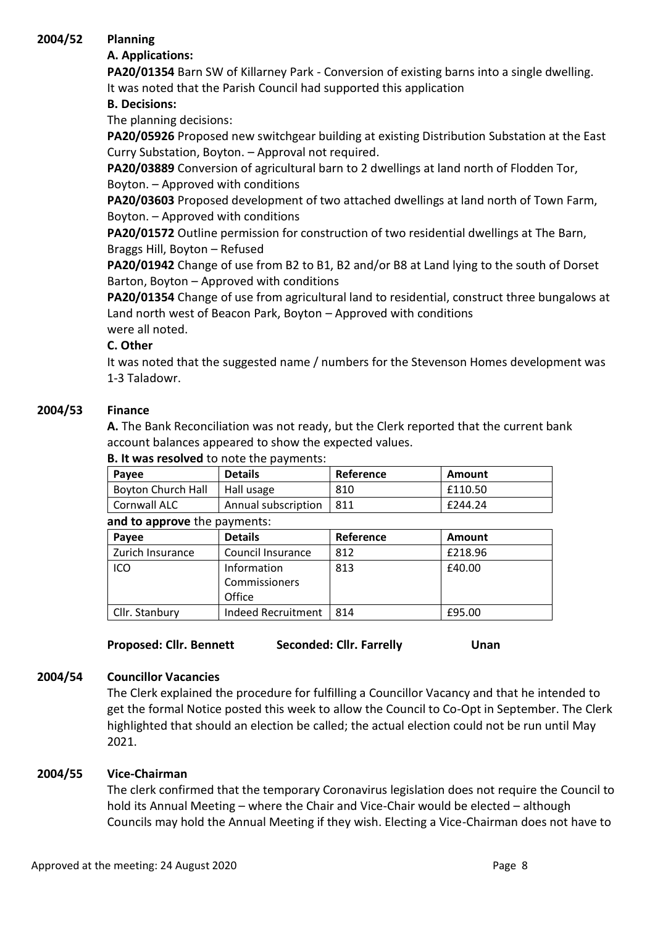# **2004/52 Planning**

# **A. Applications:**

**PA20/01354** Barn SW of Killarney Park - Conversion of existing barns into a single dwelling. It was noted that the Parish Council had supported this application

# **B. Decisions:**

The planning decisions:

**PA20/05926** Proposed new switchgear building at existing Distribution Substation at the East Curry Substation, Boyton. – Approval not required.

**PA20/03889** Conversion of agricultural barn to 2 dwellings at land north of Flodden Tor, Boyton. – Approved with conditions

**PA20/03603** Proposed development of two attached dwellings at land north of Town Farm, Boyton. – Approved with conditions

**PA20/01572** Outline permission for construction of two residential dwellings at The Barn, Braggs Hill, Boyton – Refused

**PA20/01942** Change of use from B2 to B1, B2 and/or B8 at Land lying to the south of Dorset Barton, Boyton – Approved with conditions

**PA20/01354** Change of use from agricultural land to residential, construct three bungalows at Land north west of Beacon Park, Boyton – Approved with conditions

were all noted.

## **C. Other**

It was noted that the suggested name / numbers for the Stevenson Homes development was 1-3 Taladowr.

# **2004/53 Finance**

**A.** The Bank Reconciliation was not ready, but the Clerk reported that the current bank account balances appeared to show the expected values.

| <b>D. It was resolved</b> to hote the payments. |                |           |         |  |  |
|-------------------------------------------------|----------------|-----------|---------|--|--|
| Payee                                           | <b>Details</b> | Reference | Amount  |  |  |
| <b>Boyton Church Hall</b>                       | Hall usage     | 810       | £110.50 |  |  |
| Annual subscription<br>Cornwall ALC             |                | -811      | £244.24 |  |  |
| and to annrove the nayments.                    |                |           |         |  |  |

## **B. It was resolved** to note the payments:

| and to approve the payments: |                           |           |         |  |  |
|------------------------------|---------------------------|-----------|---------|--|--|
| Payee                        | <b>Details</b>            | Reference | Amount  |  |  |
| Zurich Insurance             | Council Insurance         | 812       | £218.96 |  |  |
| ICO                          | Information               | 813       | £40.00  |  |  |
|                              | Commissioners             |           |         |  |  |
|                              | Office                    |           |         |  |  |
| Cllr. Stanbury               | <b>Indeed Recruitment</b> | 814       | £95.00  |  |  |

**Proposed: Cllr. Bennett Seconded: Cllr. Farrelly Unan** 

# **2004/54 Councillor Vacancies**

The Clerk explained the procedure for fulfilling a Councillor Vacancy and that he intended to get the formal Notice posted this week to allow the Council to Co-Opt in September. The Clerk highlighted that should an election be called; the actual election could not be run until May 2021.

# **2004/55 Vice-Chairman**

The clerk confirmed that the temporary Coronavirus legislation does not require the Council to hold its Annual Meeting – where the Chair and Vice-Chair would be elected – although Councils may hold the Annual Meeting if they wish. Electing a Vice-Chairman does not have to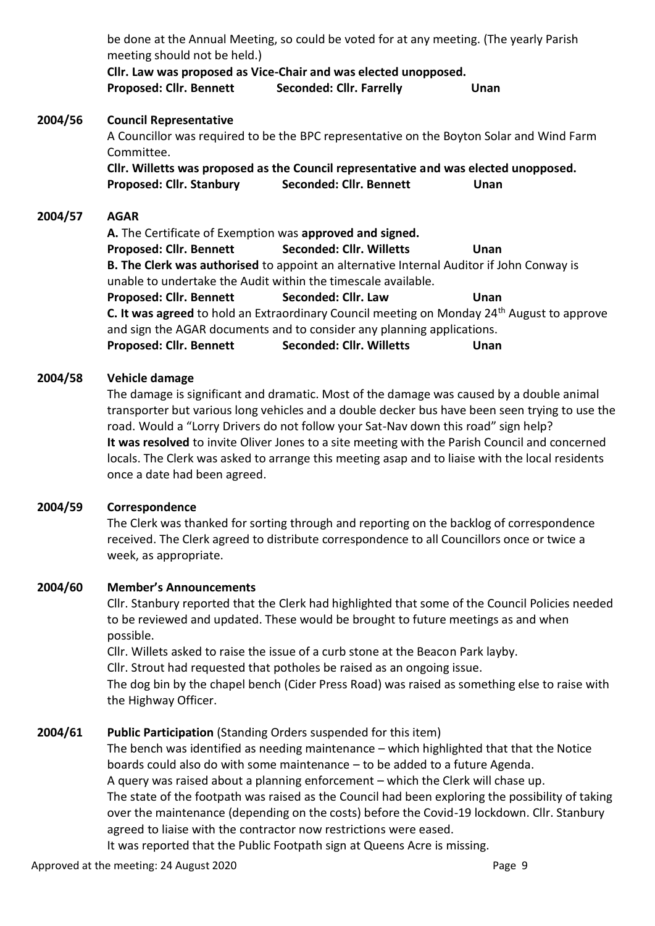|         | be done at the Annual Meeting, so could be voted for at any meeting. (The yearly Parish<br>meeting should not be held.)<br>Cllr. Law was proposed as Vice-Chair and was elected unopposed.                                                                                                                                                                                                                                                                                                                                              |                                                                                                                                                                                                                                                                                                                                                                                                                                                                                 |                                                                                                                                                                                                |  |  |
|---------|-----------------------------------------------------------------------------------------------------------------------------------------------------------------------------------------------------------------------------------------------------------------------------------------------------------------------------------------------------------------------------------------------------------------------------------------------------------------------------------------------------------------------------------------|---------------------------------------------------------------------------------------------------------------------------------------------------------------------------------------------------------------------------------------------------------------------------------------------------------------------------------------------------------------------------------------------------------------------------------------------------------------------------------|------------------------------------------------------------------------------------------------------------------------------------------------------------------------------------------------|--|--|
|         | <b>Proposed: Cllr. Bennett</b>                                                                                                                                                                                                                                                                                                                                                                                                                                                                                                          | <b>Seconded: Cllr. Farrelly</b>                                                                                                                                                                                                                                                                                                                                                                                                                                                 | Unan                                                                                                                                                                                           |  |  |
| 2004/56 | <b>Council Representative</b><br>A Councillor was required to be the BPC representative on the Boyton Solar and Wind Farm<br>Committee.<br>CIIr. Willetts was proposed as the Council representative and was elected unopposed.<br>Seconded: Cllr. Bennett<br><b>Proposed: Cllr. Stanbury</b><br>Unan                                                                                                                                                                                                                                   |                                                                                                                                                                                                                                                                                                                                                                                                                                                                                 |                                                                                                                                                                                                |  |  |
| 2004/57 | <b>AGAR</b><br>A. The Certificate of Exemption was approved and signed.<br><b>Proposed: Cllr. Bennett</b><br><b>Proposed: Cllr. Bennett</b><br><b>Proposed: Cllr. Bennett</b>                                                                                                                                                                                                                                                                                                                                                           | <b>Seconded: Cllr. Willetts</b><br>B. The Clerk was authorised to appoint an alternative Internal Auditor if John Conway is<br>unable to undertake the Audit within the timescale available.<br>Seconded: Cllr. Law<br>and sign the AGAR documents and to consider any planning applications.<br><b>Seconded: Cllr. Willetts</b>                                                                                                                                                | Unan<br><b>Unan</b><br>C. It was agreed to hold an Extraordinary Council meeting on Monday 24 <sup>th</sup> August to approve<br>Unan                                                          |  |  |
| 2004/58 | Vehicle damage<br>The damage is significant and dramatic. Most of the damage was caused by a double animal<br>transporter but various long vehicles and a double decker bus have been seen trying to use the<br>road. Would a "Lorry Drivers do not follow your Sat-Nav down this road" sign help?<br>It was resolved to invite Oliver Jones to a site meeting with the Parish Council and concerned<br>locals. The Clerk was asked to arrange this meeting asap and to liaise with the local residents<br>once a date had been agreed. |                                                                                                                                                                                                                                                                                                                                                                                                                                                                                 |                                                                                                                                                                                                |  |  |
| 2004/59 | Correspondence<br>The Clerk was thanked for sorting through and reporting on the backlog of correspondence<br>received. The Clerk agreed to distribute correspondence to all Councillors once or twice a<br>week, as appropriate.                                                                                                                                                                                                                                                                                                       |                                                                                                                                                                                                                                                                                                                                                                                                                                                                                 |                                                                                                                                                                                                |  |  |
| 2004/60 | <b>Member's Announcements</b><br>Cllr. Stanbury reported that the Clerk had highlighted that some of the Council Policies needed<br>to be reviewed and updated. These would be brought to future meetings as and when<br>possible.<br>Cllr. Willets asked to raise the issue of a curb stone at the Beacon Park layby.<br>Cllr. Strout had requested that potholes be raised as an ongoing issue.<br>The dog bin by the chapel bench (Cider Press Road) was raised as something else to raise with<br>the Highway Officer.              |                                                                                                                                                                                                                                                                                                                                                                                                                                                                                 |                                                                                                                                                                                                |  |  |
| 2004/61 |                                                                                                                                                                                                                                                                                                                                                                                                                                                                                                                                         | Public Participation (Standing Orders suspended for this item)<br>The bench was identified as needing maintenance - which highlighted that that the Notice<br>boards could also do with some maintenance - to be added to a future Agenda.<br>A query was raised about a planning enforcement - which the Clerk will chase up.<br>agreed to liaise with the contractor now restrictions were eased.<br>It was reported that the Public Footpath sign at Queens Acre is missing. | The state of the footpath was raised as the Council had been exploring the possibility of taking<br>over the maintenance (depending on the costs) before the Covid-19 lockdown. Cllr. Stanbury |  |  |